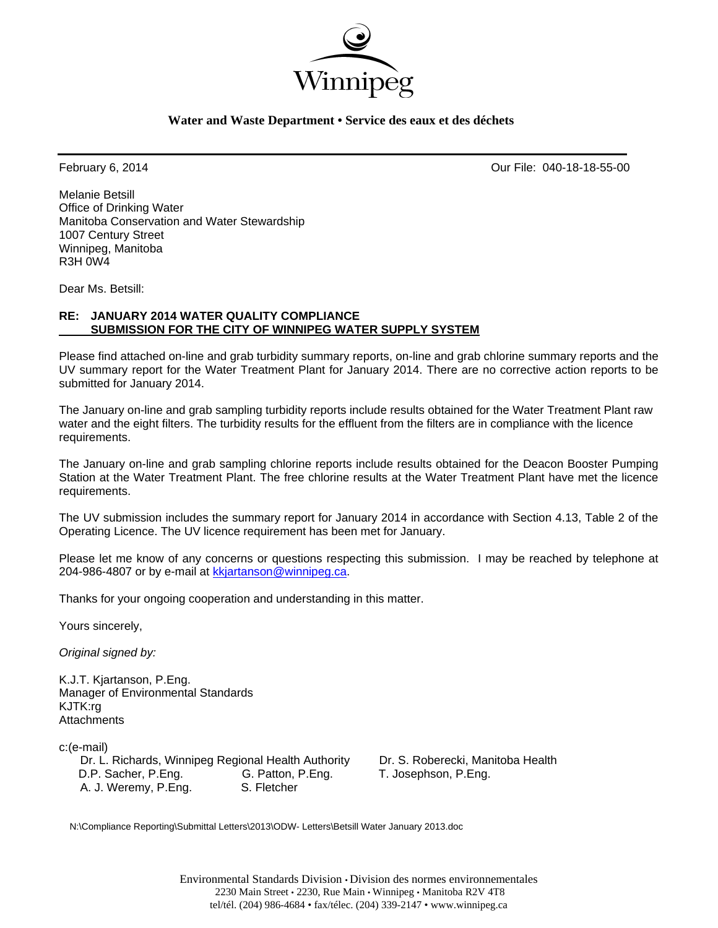

### **Water and Waste Department • Service des eaux et des déchets**

February 6, 2014 Our File: 040-18-18-55-00

Melanie Betsill Office of Drinking Water Manitoba Conservation and Water Stewardship 1007 Century Street Winnipeg, Manitoba R3H 0W4

Dear Ms. Betsill:

### **RE: JANUARY 2014 WATER QUALITY COMPLIANCE SUBMISSION FOR THE CITY OF WINNIPEG WATER SUPPLY SYSTEM**

Please find attached on-line and grab turbidity summary reports, on-line and grab chlorine summary reports and the UV summary report for the Water Treatment Plant for January 2014. There are no corrective action reports to be submitted for January 2014.

The January on-line and grab sampling turbidity reports include results obtained for the Water Treatment Plant raw water and the eight filters. The turbidity results for the effluent from the filters are in compliance with the licence requirements.

The January on-line and grab sampling chlorine reports include results obtained for the Deacon Booster Pumping Station at the Water Treatment Plant. The free chlorine results at the Water Treatment Plant have met the licence requirements.

The UV submission includes the summary report for January 2014 in accordance with Section 4.13, Table 2 of the Operating Licence. The UV licence requirement has been met for January.

Please let me know of any concerns or questions respecting this submission. I may be reached by telephone at 204-986-4807 or by e-mail at kkjartanson@winnipeg.ca.

Thanks for your ongoing cooperation and understanding in this matter.

Yours sincerely,

*Original signed by:* 

K.J.T. Kjartanson, P.Eng. Manager of Environmental Standards KJTK:rg **Attachments** 

c:(e-mail)

 Dr. L. Richards, Winnipeg Regional Health Authority Dr. S. Roberecki, Manitoba Health D.P. Sacher, P.Eng. G. Patton, P.Eng. T. Josephson, P.Eng. A. J. Weremy, P.Eng. S. Fletcher

N:\Compliance Reporting\Submittal Letters\2013\ODW- Letters\Betsill Water January 2013.doc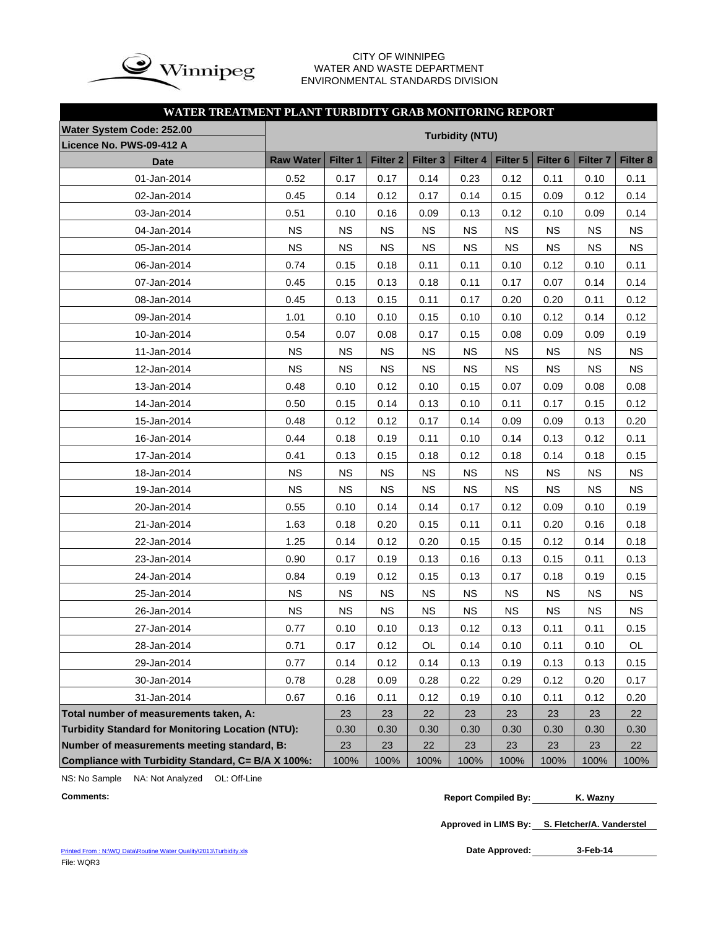

### CITY OF WINNIPEG WATER AND WASTE DEPARTMENT ENVIRONMENTAL STANDARDS DIVISION

### **WATER TREATMENT PLANT TURBIDITY GRAB MONITORING REPORT**

| Water System Code: 252.00                                |                        |           |                     |                     |           |           |                 |                     |           |
|----------------------------------------------------------|------------------------|-----------|---------------------|---------------------|-----------|-----------|-----------------|---------------------|-----------|
| Licence No. PWS-09-412 A                                 | <b>Turbidity (NTU)</b> |           |                     |                     |           |           |                 |                     |           |
| <b>Date</b>                                              | <b>Raw Water</b>       | Filter 1  | Filter <sub>2</sub> | Filter <sub>3</sub> | Filter 4  | Filter 5  | <b>Filter 6</b> | Filter <sub>7</sub> | Filter 8  |
| 01-Jan-2014                                              | 0.52                   | 0.17      | 0.17                | 0.14                | 0.23      | 0.12      | 0.11            | 0.10                | 0.11      |
| 02-Jan-2014                                              | 0.45                   | 0.14      | 0.12                | 0.17                | 0.14      | 0.15      | 0.09            | 0.12                | 0.14      |
| 03-Jan-2014                                              | 0.51                   | 0.10      | 0.16                | 0.09                | 0.13      | 0.12      | 0.10            | 0.09                | 0.14      |
| 04-Jan-2014                                              | <b>NS</b>              | <b>NS</b> | <b>NS</b>           | <b>NS</b>           | <b>NS</b> | <b>NS</b> | <b>NS</b>       | <b>NS</b>           | <b>NS</b> |
| 05-Jan-2014                                              | <b>NS</b>              | <b>NS</b> | <b>NS</b>           | <b>NS</b>           | <b>NS</b> | <b>NS</b> | <b>NS</b>       | <b>NS</b>           | <b>NS</b> |
| 06-Jan-2014                                              | 0.74                   | 0.15      | 0.18                | 0.11                | 0.11      | 0.10      | 0.12            | 0.10                | 0.11      |
| 07-Jan-2014                                              | 0.45                   | 0.15      | 0.13                | 0.18                | 0.11      | 0.17      | 0.07            | 0.14                | 0.14      |
| 08-Jan-2014                                              | 0.45                   | 0.13      | 0.15                | 0.11                | 0.17      | 0.20      | 0.20            | 0.11                | 0.12      |
| 09-Jan-2014                                              | 1.01                   | 0.10      | 0.10                | 0.15                | 0.10      | 0.10      | 0.12            | 0.14                | 0.12      |
| 10-Jan-2014                                              | 0.54                   | 0.07      | 0.08                | 0.17                | 0.15      | 0.08      | 0.09            | 0.09                | 0.19      |
| 11-Jan-2014                                              | <b>NS</b>              | <b>NS</b> | <b>NS</b>           | <b>NS</b>           | <b>NS</b> | <b>NS</b> | <b>NS</b>       | <b>NS</b>           | <b>NS</b> |
| 12-Jan-2014                                              | <b>NS</b>              | <b>NS</b> | <b>NS</b>           | <b>NS</b>           | <b>NS</b> | <b>NS</b> | <b>NS</b>       | <b>NS</b>           | <b>NS</b> |
| 13-Jan-2014                                              | 0.48                   | 0.10      | 0.12                | 0.10                | 0.15      | 0.07      | 0.09            | 0.08                | 0.08      |
| 14-Jan-2014                                              | 0.50                   | 0.15      | 0.14                | 0.13                | 0.10      | 0.11      | 0.17            | 0.15                | 0.12      |
| 15-Jan-2014                                              | 0.48                   | 0.12      | 0.12                | 0.17                | 0.14      | 0.09      | 0.09            | 0.13                | 0.20      |
| 16-Jan-2014                                              | 0.44                   | 0.18      | 0.19                | 0.11                | 0.10      | 0.14      | 0.13            | 0.12                | 0.11      |
| 17-Jan-2014                                              | 0.41                   | 0.13      | 0.15                | 0.18                | 0.12      | 0.18      | 0.14            | 0.18                | 0.15      |
| 18-Jan-2014                                              | <b>NS</b>              | <b>NS</b> | <b>NS</b>           | <b>NS</b>           | <b>NS</b> | <b>NS</b> | <b>NS</b>       | <b>NS</b>           | <b>NS</b> |
| 19-Jan-2014                                              | <b>NS</b>              | <b>NS</b> | <b>NS</b>           | <b>NS</b>           | <b>NS</b> | <b>NS</b> | <b>NS</b>       | <b>NS</b>           | <b>NS</b> |
| 20-Jan-2014                                              | 0.55                   | 0.10      | 0.14                | 0.14                | 0.17      | 0.12      | 0.09            | 0.10                | 0.19      |
| 21-Jan-2014                                              | 1.63                   | 0.18      | 0.20                | 0.15                | 0.11      | 0.11      | 0.20            | 0.16                | 0.18      |
| 22-Jan-2014                                              | 1.25                   | 0.14      | 0.12                | 0.20                | 0.15      | 0.15      | 0.12            | 0.14                | 0.18      |
| 23-Jan-2014                                              | 0.90                   | 0.17      | 0.19                | 0.13                | 0.16      | 0.13      | 0.15            | 0.11                | 0.13      |
| 24-Jan-2014                                              | 0.84                   | 0.19      | 0.12                | 0.15                | 0.13      | 0.17      | 0.18            | 0.19                | 0.15      |
| 25-Jan-2014                                              | <b>NS</b>              | <b>NS</b> | <b>NS</b>           | <b>NS</b>           | <b>NS</b> | <b>NS</b> | <b>NS</b>       | <b>NS</b>           | <b>NS</b> |
| 26-Jan-2014                                              | <b>NS</b>              | <b>NS</b> | <b>NS</b>           | <b>NS</b>           | <b>NS</b> | <b>NS</b> | <b>NS</b>       | <b>NS</b>           | <b>NS</b> |
| 27-Jan-2014                                              | 0.77                   | 0.10      | 0.10                | 0.13                | 0.12      | 0.13      | 0.11            | 0.11                | 0.15      |
| 28-Jan-2014                                              | 0.71                   | 0.17      | 0.12                | OL                  | 0.14      | 0.10      | 0.11            | 0.10                | OL        |
| 29-Jan-2014                                              | 0.77                   | 0.14      | 0.12                | 0.14                | 0.13      | 0.19      | 0.13            | 0.13                | 0.15      |
| 30-Jan-2014                                              | 0.78                   | 0.28      | 0.09                | 0.28                | 0.22      | 0.29      | 0.12            | 0.20                | 0.17      |
| 31-Jan-2014                                              | 0.67                   | 0.16      | 0.11                | 0.12                | 0.19      | 0.10      | 0.11            | 0.12                | 0.20      |
| Total number of measurements taken, A:                   |                        | 23        | 23                  | 22                  | 23        | 23        | 23              | 23                  | 22        |
| <b>Turbidity Standard for Monitoring Location (NTU):</b> |                        |           | 0.30                | 0.30                | 0.30      | 0.30      | 0.30            | 0.30                | 0.30      |
| Number of measurements meeting standard, B:              |                        |           | 23                  | 22                  | 23        | 23        | 23              | 23                  | 22        |
| Compliance with Turbidity Standard, C= B/A X 100%:       |                        |           | 100%                | 100%                | 100%      | 100%      | 100%            | 100%                | 100%      |

NS: No Sample NA: Not Analyzed OL: Off-Line

**Approved in LIMS By: S. Fletcher/A. Vanderstel**

Date Approved: 3-Feb-14

**Comments: Report Compiled By: K. Wazny**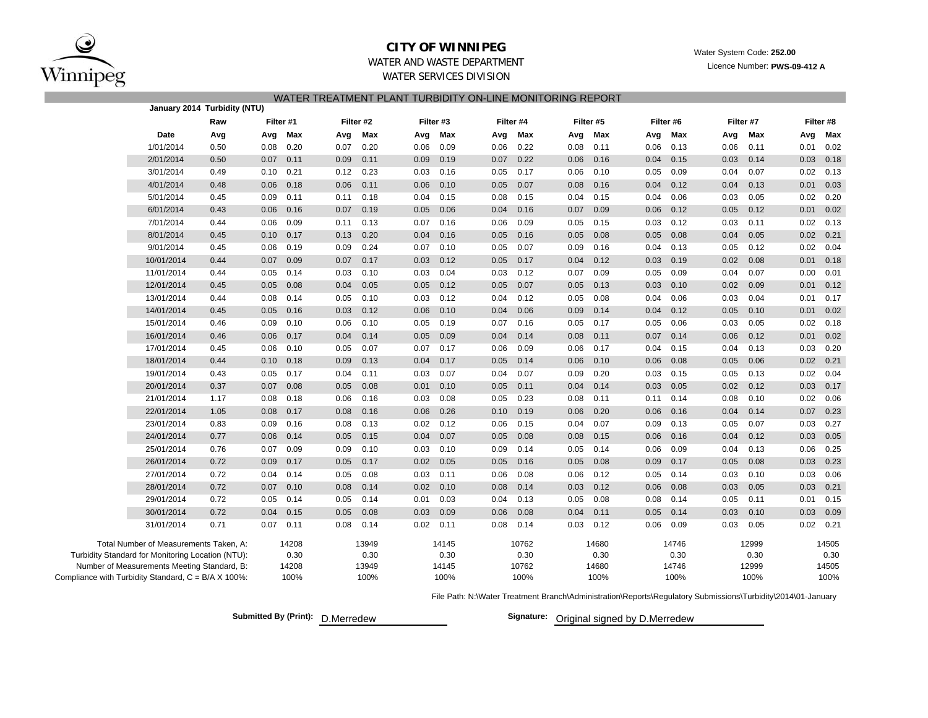

### **CITY OF WINNIPEG**

Water System Code: **252.00**

Licence Number: **PWS-09-412 A**

### WATER AND WASTE DEPARTMENTWATER SERVICES DIVISION

| WATER TREATMENT PLANT TURBIDITY ON-LINE MONITORING REPORT |  |  |
|-----------------------------------------------------------|--|--|
|                                                           |  |  |

|                                                     |                                             | January 2014 Turbidity (NTU) |           |         |      |           |      |           |      |           |      |           |      |           |      |           |      |           |
|-----------------------------------------------------|---------------------------------------------|------------------------------|-----------|---------|------|-----------|------|-----------|------|-----------|------|-----------|------|-----------|------|-----------|------|-----------|
|                                                     |                                             | Raw                          | Filter #1 |         |      | Filter #2 |      | Filter #3 |      | Filter #4 |      | Filter #5 |      | Filter #6 |      | Filter #7 |      | Filter #8 |
|                                                     | Date                                        | Avg                          |           | Avg Max | Avg  | Max       | Avg  | Max       | Avg  | Max       | Avg  | Max       | Avg  | Max       | Avg  | Max       | Avg  | Max       |
|                                                     | 1/01/2014                                   | 0.50                         | 0.08      | 0.20    | 0.07 | 0.20      | 0.06 | 0.09      | 0.06 | 0.22      | 0.08 | 0.11      | 0.06 | 0.13      | 0.06 | 0.11      | 0.01 | 0.02      |
|                                                     | 2/01/2014                                   | 0.50                         | 0.07      | 0.11    | 0.09 | 0.11      | 0.09 | 0.19      | 0.07 | 0.22      | 0.06 | 0.16      | 0.04 | 0.15      | 0.03 | 0.14      | 0.03 | 0.18      |
|                                                     | 3/01/2014                                   | 0.49                         | 0.10      | 0.21    | 0.12 | 0.23      | 0.03 | 0.16      | 0.05 | 0.17      | 0.06 | 0.10      | 0.05 | 0.09      | 0.04 | 0.07      | 0.02 | 0.13      |
|                                                     | 4/01/2014                                   | 0.48                         | 0.06      | 0.18    | 0.06 | 0.11      | 0.06 | 0.10      | 0.05 | 0.07      | 0.08 | 0.16      | 0.04 | 0.12      | 0.04 | 0.13      | 0.01 | 0.03      |
|                                                     | 5/01/2014                                   | 0.45                         | 0.09      | 0.11    | 0.11 | 0.18      | 0.04 | 0.15      | 0.08 | 0.15      | 0.04 | 0.15      | 0.04 | 0.06      | 0.03 | 0.05      | 0.02 | 0.20      |
|                                                     | 6/01/2014                                   | 0.43                         | 0.06      | 0.16    | 0.07 | 0.19      | 0.05 | 0.06      | 0.04 | 0.16      | 0.07 | 0.09      | 0.06 | 0.12      | 0.05 | 0.12      | 0.01 | 0.02      |
|                                                     | 7/01/2014                                   | 0.44                         | 0.06      | 0.09    | 0.11 | 0.13      | 0.07 | 0.16      | 0.06 | 0.09      | 0.05 | 0.15      | 0.03 | 0.12      | 0.03 | 0.11      | 0.02 | 0.13      |
|                                                     | 8/01/2014                                   | 0.45                         | 0.10      | 0.17    | 0.13 | 0.20      | 0.04 | 0.16      | 0.05 | 0.16      | 0.05 | 0.08      | 0.05 | 0.08      | 0.04 | 0.05      | 0.02 | 0.21      |
|                                                     | 9/01/2014                                   | 0.45                         | 0.06      | 0.19    | 0.09 | 0.24      | 0.07 | 0.10      | 0.05 | 0.07      | 0.09 | 0.16      | 0.04 | 0.13      | 0.05 | 0.12      | 0.02 | 0.04      |
|                                                     | 10/01/2014                                  | 0.44                         | 0.07      | 0.09    | 0.07 | 0.17      | 0.03 | 0.12      | 0.05 | 0.17      | 0.04 | 0.12      | 0.03 | 0.19      | 0.02 | 0.08      | 0.01 | 0.18      |
|                                                     | 11/01/2014                                  | 0.44                         | 0.05      | 0.14    | 0.03 | 0.10      | 0.03 | 0.04      | 0.03 | 0.12      | 0.07 | 0.09      | 0.05 | 0.09      | 0.04 | 0.07      | 0.00 | 0.01      |
|                                                     | 12/01/2014                                  | 0.45                         | 0.05      | 0.08    | 0.04 | 0.05      | 0.05 | 0.12      | 0.05 | 0.07      | 0.05 | 0.13      | 0.03 | 0.10      | 0.02 | 0.09      | 0.01 | 0.12      |
|                                                     | 13/01/2014                                  | 0.44                         | 0.08      | 0.14    | 0.05 | 0.10      | 0.03 | 0.12      | 0.04 | 0.12      | 0.05 | 0.08      | 0.04 | 0.06      | 0.03 | 0.04      | 0.01 | 0.17      |
|                                                     | 14/01/2014                                  | 0.45                         | 0.05      | 0.16    | 0.03 | 0.12      | 0.06 | 0.10      | 0.04 | 0.06      | 0.09 | 0.14      | 0.04 | 0.12      | 0.05 | 0.10      | 0.01 | 0.02      |
|                                                     | 15/01/2014                                  | 0.46                         | 0.09      | 0.10    | 0.06 | 0.10      | 0.05 | 0.19      | 0.07 | 0.16      | 0.05 | 0.17      | 0.05 | 0.06      | 0.03 | 0.05      | 0.02 | 0.18      |
|                                                     | 16/01/2014                                  | 0.46                         | 0.06      | 0.17    | 0.04 | 0.14      | 0.05 | 0.09      | 0.04 | 0.14      | 0.08 | 0.11      | 0.07 | 0.14      | 0.06 | 0.12      | 0.01 | 0.02      |
|                                                     | 17/01/2014                                  | 0.45                         | 0.06      | 0.10    | 0.05 | 0.07      | 0.07 | 0.17      | 0.06 | 0.09      | 0.06 | 0.17      | 0.04 | 0.15      | 0.04 | 0.13      | 0.03 | 0.20      |
|                                                     | 18/01/2014                                  | 0.44                         | 0.10      | 0.18    | 0.09 | 0.13      | 0.04 | 0.17      | 0.05 | 0.14      | 0.06 | 0.10      | 0.06 | 0.08      | 0.05 | 0.06      | 0.02 | 0.21      |
|                                                     | 19/01/2014                                  | 0.43                         | 0.05      | 0.17    | 0.04 | 0.11      | 0.03 | 0.07      | 0.04 | 0.07      | 0.09 | 0.20      | 0.03 | 0.15      | 0.05 | 0.13      | 0.02 | 0.04      |
|                                                     | 20/01/2014                                  | 0.37                         | 0.07      | 0.08    | 0.05 | 0.08      | 0.01 | 0.10      | 0.05 | 0.11      | 0.04 | 0.14      | 0.03 | 0.05      | 0.02 | 0.12      | 0.03 | 0.17      |
|                                                     | 21/01/2014                                  | 1.17                         | 0.08      | 0.18    | 0.06 | 0.16      | 0.03 | 0.08      | 0.05 | 0.23      | 0.08 | 0.11      | 0.11 | 0.14      | 0.08 | 0.10      | 0.02 | 0.06      |
|                                                     | 22/01/2014                                  | 1.05                         | 0.08      | 0.17    | 0.08 | 0.16      | 0.06 | 0.26      | 0.10 | 0.19      | 0.06 | 0.20      | 0.06 | 0.16      | 0.04 | 0.14      | 0.07 | 0.23      |
|                                                     | 23/01/2014                                  | 0.83                         | 0.09      | 0.16    | 0.08 | 0.13      | 0.02 | 0.12      | 0.06 | 0.15      | 0.04 | 0.07      | 0.09 | 0.13      | 0.05 | 0.07      | 0.03 | 0.27      |
|                                                     | 24/01/2014                                  | 0.77                         | 0.06      | 0.14    | 0.05 | 0.15      | 0.04 | 0.07      | 0.05 | 0.08      | 0.08 | 0.15      | 0.06 | 0.16      | 0.04 | 0.12      | 0.03 | 0.05      |
|                                                     | 25/01/2014                                  | 0.76                         | 0.07      | 0.09    | 0.09 | 0.10      | 0.03 | 0.10      | 0.09 | 0.14      | 0.05 | 0.14      | 0.06 | 0.09      | 0.04 | 0.13      | 0.06 | 0.25      |
|                                                     | 26/01/2014                                  | 0.72                         | 0.09      | 0.17    | 0.05 | 0.17      | 0.02 | 0.05      | 0.05 | 0.16      | 0.05 | 0.08      | 0.09 | 0.17      | 0.05 | 0.08      | 0.03 | 0.23      |
|                                                     | 27/01/2014                                  | 0.72                         | 0.04      | 0.14    | 0.05 | 0.08      | 0.03 | 0.11      | 0.06 | 0.08      | 0.06 | 0.12      | 0.05 | 0.14      | 0.03 | 0.10      | 0.03 | 0.06      |
|                                                     | 28/01/2014                                  | 0.72                         | 0.07      | 0.10    | 0.08 | 0.14      | 0.02 | 0.10      | 0.08 | 0.14      | 0.03 | 0.12      | 0.06 | 0.08      | 0.03 | 0.05      | 0.03 | 0.21      |
|                                                     | 29/01/2014                                  | 0.72                         | 0.05      | 0.14    | 0.05 | 0.14      | 0.01 | 0.03      | 0.04 | 0.13      | 0.05 | 0.08      | 0.08 | 0.14      | 0.05 | 0.11      | 0.01 | 0.15      |
|                                                     | 30/01/2014                                  | 0.72                         | 0.04      | 0.15    | 0.05 | 0.08      | 0.03 | 0.09      | 0.06 | 0.08      | 0.04 | 0.11      | 0.05 | 0.14      | 0.03 | 0.10      | 0.03 | 0.09      |
|                                                     | 31/01/2014                                  | 0.71                         | 0.07      | 0.11    | 0.08 | 0.14      | 0.02 | 0.11      | 0.08 | 0.14      | 0.03 | 0.12      | 0.06 | 0.09      | 0.03 | 0.05      | 0.02 | 0.21      |
|                                                     | Total Number of Measurements Taken, A:      |                              |           | 14208   |      | 13949     |      | 14145     |      | 10762     |      | 14680     |      | 14746     |      | 12999     |      | 14505     |
| Turbidity Standard for Monitoring Location (NTU):   |                                             |                              |           | 0.30    |      | 0.30      |      | 0.30      |      | 0.30      |      | 0.30      |      | 0.30      |      | 0.30      |      | 0.30      |
|                                                     | Number of Measurements Meeting Standard, B: |                              |           | 14208   |      | 13949     |      | 14145     |      | 10762     |      | 14680     |      | 14746     |      | 12999     |      | 14505     |
| Compliance with Turbidity Standard, C = B/A X 100%: |                                             |                              |           | 100%    |      | 100%      |      | 100%      |      | 100%      |      | 100%      |      | 100%      |      | 100%      |      | 100%      |

File Path: N:\Water Treatment Branch\Administration\Reports\Regulatory Submissions\Turbidity\2014\01-January

**Submitted By (Print): D.Merredew** 

Signature: Original signed by D.Merredew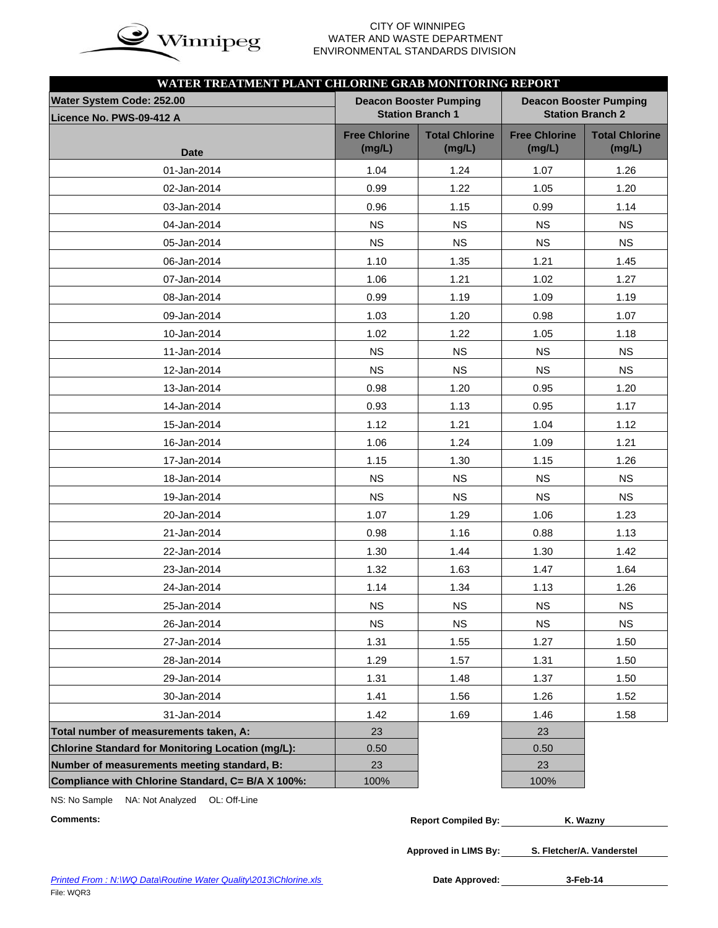

# WATER AND WASTE DEPARTMENT ENVIRONMENTAL STANDARDS DIVISION

| WATER TREATMENT PLANT CHLORINE GRAB MONITORING REPORT |                                |                               |                                |                                 |  |  |  |
|-------------------------------------------------------|--------------------------------|-------------------------------|--------------------------------|---------------------------------|--|--|--|
| Water System Code: 252.00                             |                                | <b>Deacon Booster Pumping</b> | <b>Deacon Booster Pumping</b>  |                                 |  |  |  |
| Licence No. PWS-09-412 A                              |                                | <b>Station Branch 1</b>       | <b>Station Branch 2</b>        |                                 |  |  |  |
|                                                       | <b>Free Chlorine</b><br>(mg/L) | <b>Total Chlorine</b>         | <b>Free Chlorine</b><br>(mg/L) | <b>Total Chlorine</b><br>(mg/L) |  |  |  |
| <b>Date</b>                                           |                                | (mg/L)                        |                                |                                 |  |  |  |
| 01-Jan-2014                                           | 1.04                           | 1.24                          | 1.07                           | 1.26                            |  |  |  |
| 02-Jan-2014                                           | 0.99                           | 1.22                          | 1.05                           | 1.20                            |  |  |  |
| 03-Jan-2014                                           | 0.96                           | 1.15                          | 0.99                           | 1.14                            |  |  |  |
| 04-Jan-2014                                           | <b>NS</b>                      | <b>NS</b>                     | <b>NS</b>                      | <b>NS</b>                       |  |  |  |
| 05-Jan-2014                                           | <b>NS</b>                      | <b>NS</b>                     | <b>NS</b>                      | <b>NS</b>                       |  |  |  |
| 06-Jan-2014                                           | 1.10                           | 1.35                          | 1.21                           | 1.45                            |  |  |  |
| 07-Jan-2014                                           | 1.06                           | 1.21                          | 1.02                           | 1.27                            |  |  |  |
| 08-Jan-2014                                           | 0.99                           | 1.19                          | 1.09                           | 1.19                            |  |  |  |
| 09-Jan-2014                                           | 1.03                           | 1.20                          | 0.98                           | 1.07                            |  |  |  |
| 10-Jan-2014                                           | 1.02                           | 1.22                          | 1.05                           | 1.18                            |  |  |  |
| 11-Jan-2014                                           | <b>NS</b>                      | <b>NS</b>                     | <b>NS</b>                      | <b>NS</b>                       |  |  |  |
| 12-Jan-2014                                           | <b>NS</b>                      | <b>NS</b>                     | <b>NS</b>                      | <b>NS</b>                       |  |  |  |
| 13-Jan-2014                                           | 0.98                           | 1.20                          | 0.95                           | 1.20                            |  |  |  |
| 14-Jan-2014                                           | 0.93                           | 1.13                          | 0.95                           | 1.17                            |  |  |  |
| 15-Jan-2014                                           | 1.12                           | 1.21                          | 1.04                           | 1.12                            |  |  |  |
| 16-Jan-2014                                           | 1.06                           | 1.24                          | 1.09                           | 1.21                            |  |  |  |
| 17-Jan-2014                                           | 1.15                           | 1.30                          | 1.15                           | 1.26                            |  |  |  |
| 18-Jan-2014                                           | <b>NS</b>                      | <b>NS</b>                     | <b>NS</b>                      | <b>NS</b>                       |  |  |  |
| 19-Jan-2014                                           | <b>NS</b>                      | <b>NS</b>                     | <b>NS</b>                      | <b>NS</b>                       |  |  |  |
| 20-Jan-2014                                           | 1.07                           | 1.29                          | 1.06                           | 1.23                            |  |  |  |
| 21-Jan-2014                                           | 0.98                           | 1.16                          | 0.88                           | 1.13                            |  |  |  |
| 22-Jan-2014                                           | 1.30                           | 1.44                          | 1.30                           | 1.42                            |  |  |  |
| 23-Jan-2014                                           | 1.32                           | 1.63                          | 1.47                           | 1.64                            |  |  |  |
| 24-Jan-2014                                           | 1.14                           | 1.34                          | 1.13                           | 1.26                            |  |  |  |
| 25-Jan-2014                                           | NS.                            | NS.                           | <b>NS</b>                      | <b>NS</b>                       |  |  |  |
| 26-Jan-2014                                           | <b>NS</b>                      | <b>NS</b>                     | <b>NS</b>                      | <b>NS</b>                       |  |  |  |
| 27-Jan-2014                                           | 1.31                           | 1.55                          | 1.27                           | 1.50                            |  |  |  |
| 28-Jan-2014                                           | 1.29                           | 1.57                          | 1.31                           | 1.50                            |  |  |  |
| 29-Jan-2014                                           | 1.31                           | 1.48                          | 1.37                           | 1.50                            |  |  |  |
| 30-Jan-2014                                           | 1.41                           | 1.56                          | 1.26                           | 1.52                            |  |  |  |
| 31-Jan-2014                                           | 1.42                           | 1.69                          | 1.46                           | 1.58                            |  |  |  |
| Total number of measurements taken, A:                | 23                             |                               | 23                             |                                 |  |  |  |
| Chlorine Standard for Monitoring Location (mg/L):     | 0.50                           |                               | 0.50                           |                                 |  |  |  |
| Number of measurements meeting standard, B:           | 23                             |                               | 23                             |                                 |  |  |  |
| Compliance with Chlorine Standard, C= B/A X 100%:     | 100%                           |                               | 100%                           |                                 |  |  |  |

NS: No Sample NA: Not Analyzed OL: Off-Line

 $Comments:$ 

| <b>Report Compiled By:</b> | K. Wazny |
|----------------------------|----------|
|                            |          |

**Approved in LIMS By: S. Fletcher/A. Vanderstel**

Date Approved: 3-Feb-14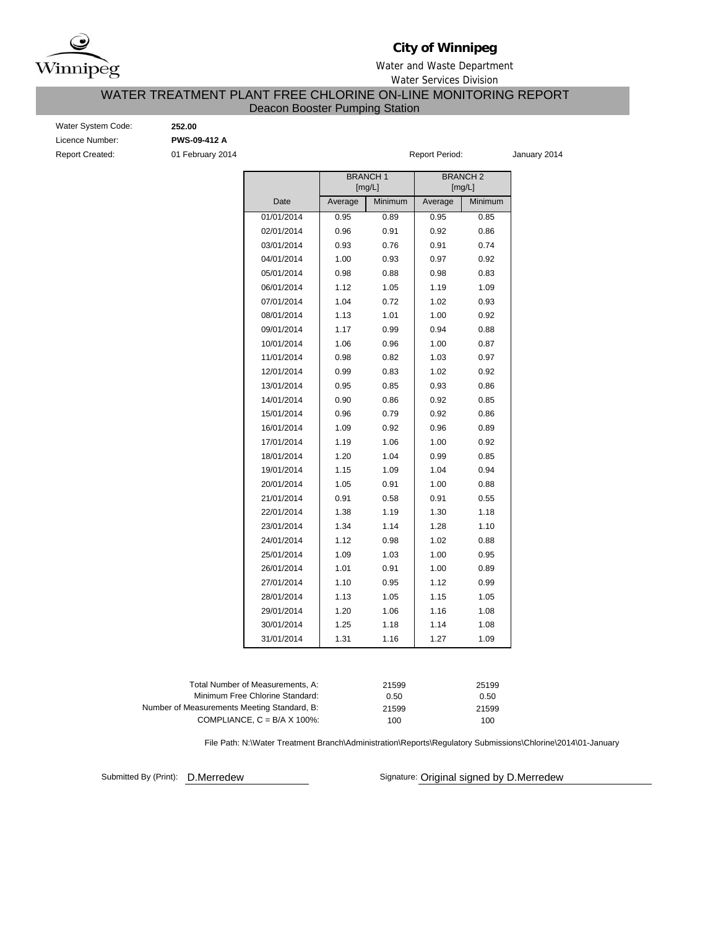

# **City of Winnipeg**

### Water and Waste Department

Water Services Division

# WATER TREATMENT PLANT FREE CHLORINE ON-LINE MONITORING REPORT

### Deacon Booster Pumping Station

Water System Code: **252.00** Licence Number: **PWS-09-412 A** Report Created: **01 February 2014 Report Period:** January 2014

|            | <b>BRANCH1</b><br>[mg/L] |         |         | <b>BRANCH2</b><br>[mg/L] |
|------------|--------------------------|---------|---------|--------------------------|
| Date       | Average                  | Minimum | Average | Minimum                  |
| 01/01/2014 | 0.95                     | 0.89    | 0.95    | 0.85                     |
| 02/01/2014 | 0.96                     | 0.91    | 0.92    | 0.86                     |
| 03/01/2014 | 0.93                     | 0.76    | 0.91    | 0.74                     |
| 04/01/2014 | 1.00                     | 0.93    | 0.97    | 0.92                     |
| 05/01/2014 | 0.98                     | 0.88    | 0.98    | 0.83                     |
| 06/01/2014 | 1.12                     | 1.05    | 1.19    | 1.09                     |
| 07/01/2014 | 1.04                     | 0.72    | 1.02    | 0.93                     |
| 08/01/2014 | 1.13                     | 1.01    | 1.00    | 0.92                     |
| 09/01/2014 | 1.17                     | 0.99    | 0.94    | 0.88                     |
| 10/01/2014 | 1.06                     | 0.96    | 1.00    | 0.87                     |
| 11/01/2014 | 0.98                     | 0.82    | 1.03    | 0.97                     |
| 12/01/2014 | 0.99                     | 0.83    | 1.02    | 0.92                     |
| 13/01/2014 | 0.95                     | 0.85    | 0.93    | 0.86                     |
| 14/01/2014 | 0.90                     | 0.86    | 0.92    | 0.85                     |
| 15/01/2014 | 0.96                     | 0.79    | 0.92    | 0.86                     |
| 16/01/2014 | 1.09                     | 0.92    | 0.96    | 0.89                     |
| 17/01/2014 | 1.19                     | 1.06    | 1.00    | 0.92                     |
| 18/01/2014 | 1.20                     | 1.04    | 0.99    | 0.85                     |
| 19/01/2014 | 1.15                     | 1.09    | 1.04    | 0.94                     |
| 20/01/2014 | 1.05                     | 0.91    | 1.00    | 0.88                     |
| 21/01/2014 | 0.91                     | 0.58    | 0.91    | 0.55                     |
| 22/01/2014 | 1.38                     | 1.19    | 1.30    | 1.18                     |
| 23/01/2014 | 1.34                     | 1.14    | 1.28    | 1.10                     |
| 24/01/2014 | 1.12                     | 0.98    | 1.02    | 0.88                     |
| 25/01/2014 | 1.09                     | 1.03    | 1.00    | 0.95                     |
| 26/01/2014 | 1.01                     | 0.91    | 1.00    | 0.89                     |
| 27/01/2014 | 1.10                     | 0.95    | 1.12    | 0.99                     |
| 28/01/2014 | 1.13                     | 1.05    | 1.15    | 1.05                     |
| 29/01/2014 | 1.20                     | 1.06    | 1.16    | 1.08                     |
| 30/01/2014 | 1.25                     | 1.18    | 1.14    | 1.08                     |
| 31/01/2014 | 1.31                     | 1.16    | 1.27    | 1.09                     |

| Total Number of Measurements. A:            | 21599 | 25199 |
|---------------------------------------------|-------|-------|
| Minimum Free Chlorine Standard:             | 0.50  | 0.50  |
| Number of Measurements Meeting Standard, B: | 21599 | 21599 |
| COMPLIANCE, $C = B/A \times 100\%$ :        | 100   | 100   |
|                                             |       |       |

File Path: N:\Water Treatment Branch\Administration\Reports\Regulatory Submissions\Chlorine\2014\01-January

Submitted By (Print): D.Merredew

Signature: Original signed by D.Merredew